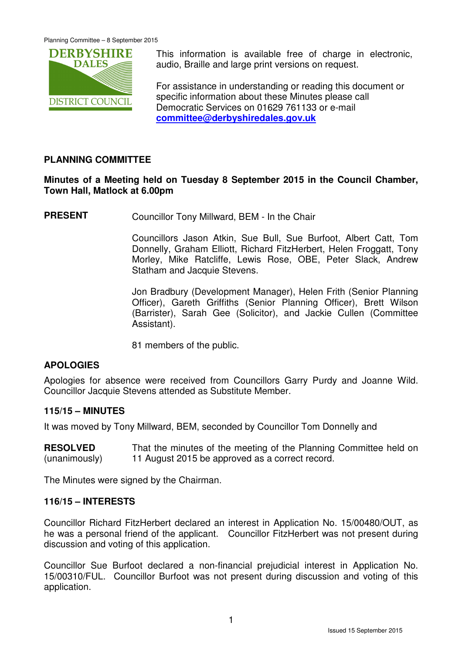

This information is available free of charge in electronic, audio, Braille and large print versions on request.

For assistance in understanding or reading this document or specific information about these Minutes please call Democratic Services on 01629 761133 or e-mail **committee@derbyshiredales.gov.uk**

# **PLANNING COMMITTEE**

# **Minutes of a Meeting held on Tuesday 8 September 2015 in the Council Chamber, Town Hall, Matlock at 6.00pm**

**PRESENT** Councillor Tony Millward, BEM - In the Chair

 Councillors Jason Atkin, Sue Bull, Sue Burfoot, Albert Catt, Tom Donnelly, Graham Elliott, Richard FitzHerbert, Helen Froggatt, Tony Morley, Mike Ratcliffe, Lewis Rose, OBE, Peter Slack, Andrew Statham and Jacquie Stevens.

 Jon Bradbury (Development Manager), Helen Frith (Senior Planning Officer), Gareth Griffiths (Senior Planning Officer), Brett Wilson (Barrister), Sarah Gee (Solicitor), and Jackie Cullen (Committee Assistant).

81 members of the public.

# **APOLOGIES**

Apologies for absence were received from Councillors Garry Purdy and Joanne Wild. Councillor Jacquie Stevens attended as Substitute Member.

# **115/15 – MINUTES**

It was moved by Tony Millward, BEM, seconded by Councillor Tom Donnelly and

**RESOLVED** (unanimously) That the minutes of the meeting of the Planning Committee held on 11 August 2015 be approved as a correct record.

The Minutes were signed by the Chairman.

### **116/15 – INTERESTS**

Councillor Richard FitzHerbert declared an interest in Application No. 15/00480/OUT, as he was a personal friend of the applicant. Councillor FitzHerbert was not present during discussion and voting of this application.

Councillor Sue Burfoot declared a non-financial prejudicial interest in Application No. 15/00310/FUL. Councillor Burfoot was not present during discussion and voting of this application.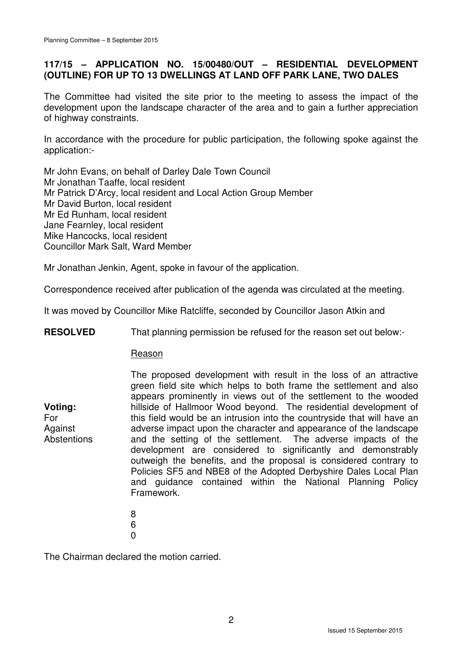# **117/15 – APPLICATION NO. 15/00480/OUT – RESIDENTIAL DEVELOPMENT (OUTLINE) FOR UP TO 13 DWELLINGS AT LAND OFF PARK LANE, TWO DALES**

The Committee had visited the site prior to the meeting to assess the impact of the development upon the landscape character of the area and to gain a further appreciation of highway constraints.

In accordance with the procedure for public participation, the following spoke against the application:-

Mr John Evans, on behalf of Darley Dale Town Council Mr Jonathan Taaffe, local resident Mr Patrick D'Arcy, local resident and Local Action Group Member Mr David Burton, local resident Mr Ed Runham, local resident Jane Fearnley, local resident Mike Hancocks, local resident Councillor Mark Salt, Ward Member

Mr Jonathan Jenkin, Agent, spoke in favour of the application.

Correspondence received after publication of the agenda was circulated at the meeting.

It was moved by Councillor Mike Ratcliffe, seconded by Councillor Jason Atkin and

**RESOLVED** That planning permission be refused for the reason set out below:-

#### Reason

The proposed development with result in the loss of an attractive green field site which helps to both frame the settlement and also appears prominently in views out of the settlement to the wooded hillside of Hallmoor Wood beyond. The residential development of this field would be an intrusion into the countryside that will have an adverse impact upon the character and appearance of the landscape and the setting of the settlement. The adverse impacts of the development are considered to significantly and demonstrably outweigh the benefits, and the proposal is considered contrary to Policies SF5 and NBE8 of the Adopted Derbyshire Dales Local Plan and guidance contained within the National Planning Policy Framework.

- 8 6
- 0

**Voting:**  For **Against Abstentions** 

The Chairman declared the motion carried.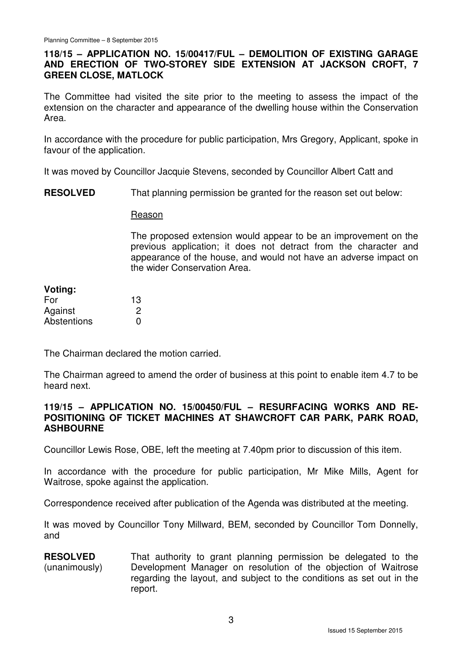# **118/15 – APPLICATION NO. 15/00417/FUL – DEMOLITION OF EXISTING GARAGE AND ERECTION OF TWO-STOREY SIDE EXTENSION AT JACKSON CROFT, 7 GREEN CLOSE, MATLOCK**

The Committee had visited the site prior to the meeting to assess the impact of the extension on the character and appearance of the dwelling house within the Conservation Area.

In accordance with the procedure for public participation, Mrs Gregory, Applicant, spoke in favour of the application.

It was moved by Councillor Jacquie Stevens, seconded by Councillor Albert Catt and

**RESOLVED** That planning permission be granted for the reason set out below:

Reason

The proposed extension would appear to be an improvement on the previous application; it does not detract from the character and appearance of the house, and would not have an adverse impact on the wider Conservation Area.

| Voting:     |    |
|-------------|----|
| For         | 13 |
| Against     | 2  |
| Abstentions | O  |

The Chairman declared the motion carried.

The Chairman agreed to amend the order of business at this point to enable item 4.7 to be heard next.

#### **119/15 – APPLICATION NO. 15/00450/FUL – RESURFACING WORKS AND RE-POSITIONING OF TICKET MACHINES AT SHAWCROFT CAR PARK, PARK ROAD, ASHBOURNE**

Councillor Lewis Rose, OBE, left the meeting at 7.40pm prior to discussion of this item.

In accordance with the procedure for public participation, Mr Mike Mills, Agent for Waitrose, spoke against the application.

Correspondence received after publication of the Agenda was distributed at the meeting.

It was moved by Councillor Tony Millward, BEM, seconded by Councillor Tom Donnelly, and

**RESOLVED** (unanimously) That authority to grant planning permission be delegated to the Development Manager on resolution of the objection of Waitrose regarding the layout, and subject to the conditions as set out in the report.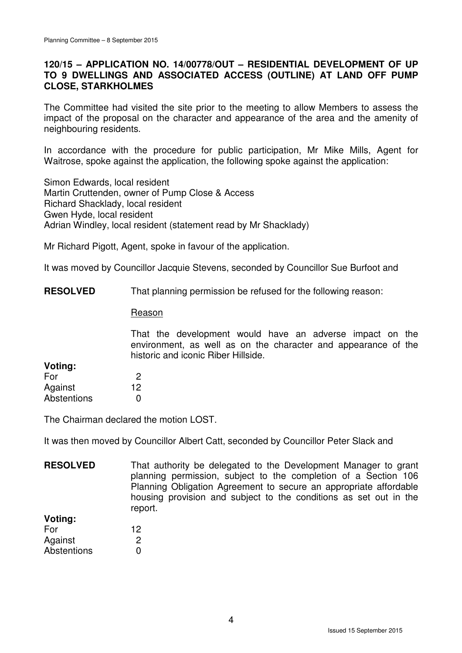## **120/15 – APPLICATION NO. 14/00778/OUT – RESIDENTIAL DEVELOPMENT OF UP TO 9 DWELLINGS AND ASSOCIATED ACCESS (OUTLINE) AT LAND OFF PUMP CLOSE, STARKHOLMES**

The Committee had visited the site prior to the meeting to allow Members to assess the impact of the proposal on the character and appearance of the area and the amenity of neighbouring residents.

In accordance with the procedure for public participation, Mr Mike Mills, Agent for Waitrose, spoke against the application, the following spoke against the application:

Simon Edwards, local resident Martin Cruttenden, owner of Pump Close & Access Richard Shacklady, local resident Gwen Hyde, local resident Adrian Windley, local resident (statement read by Mr Shacklady)

Mr Richard Pigott, Agent, spoke in favour of the application.

It was moved by Councillor Jacquie Stevens, seconded by Councillor Sue Burfoot and

**RESOLVED** That planning permission be refused for the following reason:

#### Reason

That the development would have an adverse impact on the environment, as well as on the character and appearance of the historic and iconic Riber Hillside.

| Voting:     |    |
|-------------|----|
| For         | 2  |
| Against     | 12 |
| Abstentions | O  |

The Chairman declared the motion LOST.

It was then moved by Councillor Albert Catt, seconded by Councillor Peter Slack and

**RESOLVED Voting:**  That authority be delegated to the Development Manager to grant planning permission, subject to the completion of a Section 106 Planning Obligation Agreement to secure an appropriate affordable housing provision and subject to the conditions as set out in the report.

| ,,,,,,,,,   |    |
|-------------|----|
| For         | 12 |
| Against     | 2  |
| Abstentions | O  |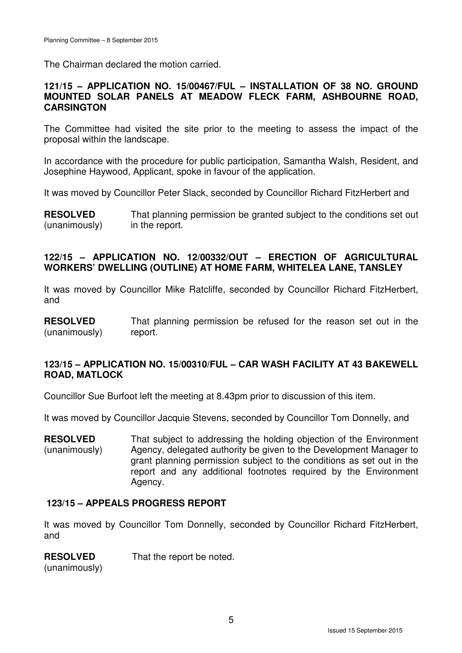The Chairman declared the motion carried.

## **121/15 – APPLICATION NO. 15/00467/FUL – INSTALLATION OF 38 NO. GROUND MOUNTED SOLAR PANELS AT MEADOW FLECK FARM, ASHBOURNE ROAD, CARSINGTON**

The Committee had visited the site prior to the meeting to assess the impact of the proposal within the landscape.

In accordance with the procedure for public participation, Samantha Walsh, Resident, and Josephine Haywood, Applicant, spoke in favour of the application.

It was moved by Councillor Peter Slack, seconded by Councillor Richard FitzHerbert and

**RESOLVED** (unanimously) That planning permission be granted subject to the conditions set out in the report.

## **122/15 – APPLICATION NO. 12/00332/OUT – ERECTION OF AGRICULTURAL WORKERS' DWELLING (OUTLINE) AT HOME FARM, WHITELEA LANE, TANSLEY**

It was moved by Councillor Mike Ratcliffe, seconded by Councillor Richard FitzHerbert, and

**RESOLVED** (unanimously) That planning permission be refused for the reason set out in the report.

## **123/15 – APPLICATION NO. 15/00310/FUL – CAR WASH FACILITY AT 43 BAKEWELL ROAD, MATLOCK**

Councillor Sue Burfoot left the meeting at 8.43pm prior to discussion of this item.

It was moved by Councillor Jacquie Stevens, seconded by Councillor Tom Donnelly, and

**RESOLVED** (unanimously) That subject to addressing the holding objection of the Environment Agency, delegated authority be given to the Development Manager to grant planning permission subject to the conditions as set out in the report and any additional footnotes required by the Environment Agency.

#### **123/15 – APPEALS PROGRESS REPORT**

It was moved by Councillor Tom Donnelly, seconded by Councillor Richard FitzHerbert, and

#### **RESOLVED**

That the report be noted.

(unanimously)